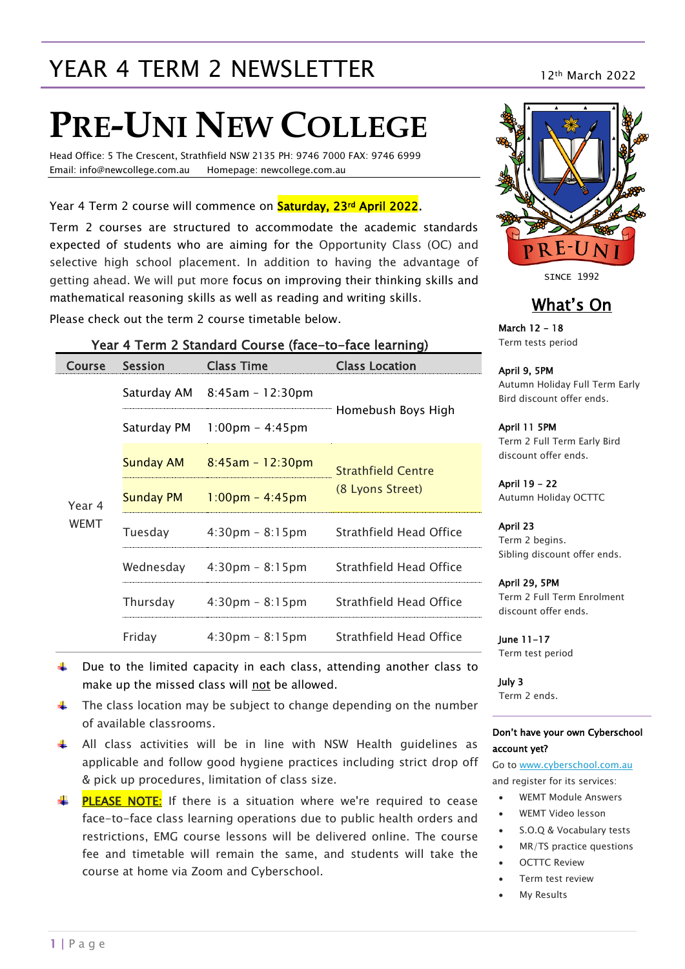## YEAR 4 TERM 2 NEWSLETTER 12th March 2022

# **PRE-UNI NEW COLLEGE**

Head Office: 5 The Crescent, Strathfield NSW 2135 PH: 9746 7000 FAX: 9746 6999 Email: info@newcollege.com.au Homepage: newcollege.com.au

Year 4 Term 2 course will commence on **Saturday, 23<sup>rd</sup> April 2022**.

Term 2 courses are structured to accommodate the academic standards expected of students who are aiming for the Opportunity Class (OC) and selective high school placement. In addition to having the advantage of getting ahead. We will put more focus on improving their thinking skills and mathematical reasoning skills as well as reading and writing skills.

Year 4 Term 2 Standard Course (face-to-face learning)

Please check out the term 2 course timetable below.

| <b>Course</b>         | <b>Session</b>                               | Class Time                        | <b>Class Location</b>                         |  |
|-----------------------|----------------------------------------------|-----------------------------------|-----------------------------------------------|--|
| Year 4<br><b>WEMT</b> |                                              | Saturday AM $8:45$ am - 12:30pm   |                                               |  |
|                       | Saturday PM                                  | $1:00 \text{pm} - 4:45 \text{pm}$ | Homebush Boys High                            |  |
|                       | <b>Sunday AM</b>                             | $8:45am - 12:30pm$                | <b>Strathfield Centre</b><br>(8 Lyons Street) |  |
|                       | Sunday PM                                    | $1:00 \text{pm} - 4:45 \text{pm}$ |                                               |  |
|                       | Tuesday<br>$4:30 \text{pm} - 8:15 \text{pm}$ |                                   | Strathfield Head Office                       |  |
|                       | Wednesday                                    | $4:30 \text{pm} - 8:15 \text{pm}$ | Strathfield Head Office                       |  |
|                       | Thursday                                     | $4:30 \text{pm} - 8:15 \text{pm}$ | Strathfield Head Office                       |  |
|                       | Friday                                       | $4:30 \text{pm} - 8:15 \text{pm}$ | Strathfield Head Office                       |  |



SINCE 1992

#### What's On

March 12 - 18 Term tests period

April 9, 5PM Autumn Holiday Full Term Early Bird discount offer ends.

April 11 5PM Term 2 Full Term Early Bird discount offer ends.

April 19 - 22 Autumn Holiday OCTTC

April 23 Term 2 begins. Sibling discount offer ends.

April 29, 5PM Term 2 Full Term Enrolment discount offer ends.

June 11-17 Term test period

July 3 Term 2 ends.

#### Don't have your own Cyberschool account yet?

Go t[o www.cyberschool.com.au](http://www.cyberschool.com.au/) and register for its services:

- WEMT Module Answers
- WEMT Video lesson
- S.O.Q & Vocabulary tests
- MR/TS practice questions
- OCTTC Review
- Term test review
- My Results

make up the missed class will not be allowed.

The class location may be subject to change depending on the number of available classrooms.

Due to the limited capacity in each class, attending another class to

- $\uparrow$  All class activities will be in line with NSW Health guidelines as applicable and follow good hygiene practices including strict drop off & pick up procedures, limitation of class size.
- $\frac{1}{2}$  **PLEASE NOTE:** If there is a situation where we're required to cease face-to-face class learning operations due to public health orders and restrictions, EMG course lessons will be delivered online. The course fee and timetable will remain the same, and students will take the course at home via Zoom and Cyberschool.

цL.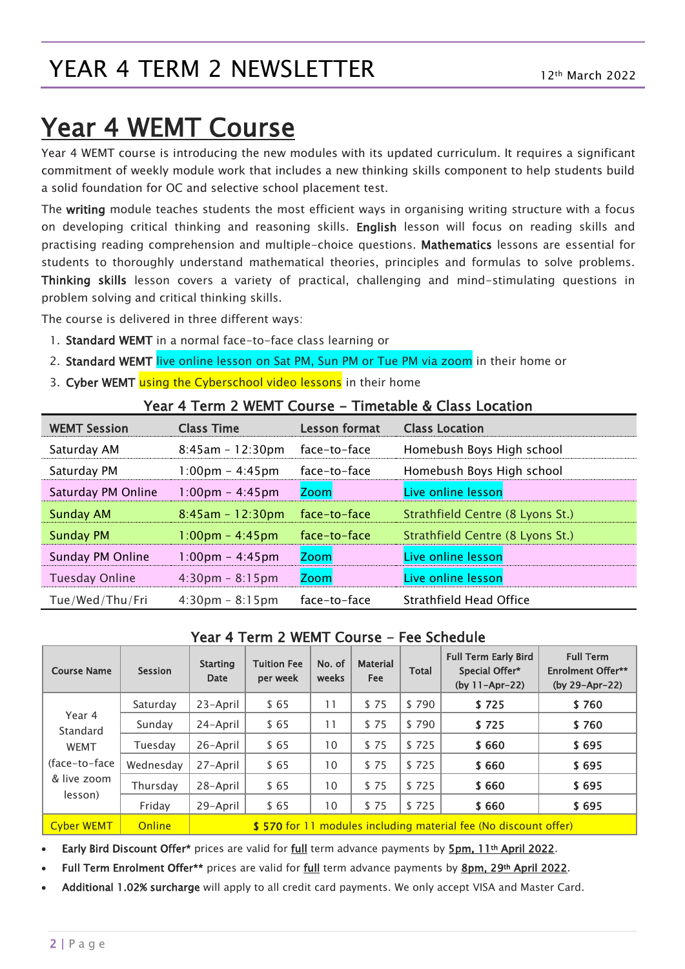## YEAR 4 TERM 2 NEWSLETTER

# Year 4 WEMT Course

Year 4 WEMT course is introducing the new modules with its updated curriculum. It requires a significant commitment of weekly module work that includes a new thinking skills component to help students build a solid foundation for OC and selective school placement test.

The writing module teaches students the most efficient ways in organising writing structure with a focus on developing critical thinking and reasoning skills. English lesson will focus on reading skills and practising reading comprehension and multiple-choice questions. Mathematics lessons are essential for students to thoroughly understand mathematical theories, principles and formulas to solve problems. Thinking skills lesson covers a variety of practical, challenging and mind-stimulating questions in problem solving and critical thinking skills.

The course is delivered in three different ways:

- 1. Standard WEMT in a normal face-to-face class learning or
- 2. Standard WEMT live online lesson on Sat PM, Sun PM or Tue PM via zoom in their home or
- 3. Cyber WEMT using the Cyberschool video lessons in their home

#### Year 4 Term 2 WEMT Course - Timetable & Class Location

| <b>WEMT Session</b>   | <b>Class Time</b>                 | <b>Lesson format</b> | <b>Class Location</b>            |  |  |
|-----------------------|-----------------------------------|----------------------|----------------------------------|--|--|
| Saturday AM           | $8:45am - 12:30pm$                | face-to-face         | Homebush Boys High school        |  |  |
| Saturday PM           | $1:00 \text{pm} - 4:45 \text{pm}$ | face-to-face         | Homebush Boys High school        |  |  |
| Saturday PM Online    | 1:00pm - 4:45pm                   | <b>Zoom</b>          | Live online lesson               |  |  |
| <b>Sunday AM</b>      | $8:45am - 12:30pm$                | face-to-face         | Strathfield Centre (8 Lyons St.) |  |  |
| <b>Sunday PM</b>      | 1:00pm - 4:45pm                   | face-to-face         | Strathfield Centre (8 Lyons St.) |  |  |
| Sunday PM Online      | $1:00 \text{pm} - 4:45 \text{pm}$ | <b>Zoom</b>          | Live online lesson               |  |  |
| <b>Tuesday Online</b> | $4:30 \text{pm} - 8:15 \text{pm}$ | <b>Zoom</b>          | Live online lesson               |  |  |
| Tue/Wed/Thu/Fri       | $4:30 \text{pm} - 8:15 \text{pm}$ | face-to-face         | Strathfield Head Office          |  |  |

#### Year 4 Term 2 WEMT Course - Fee Schedule

| <b>Course Name</b>                                                            | <b>Session</b> | <b>Starting</b><br>Date                                         | <b>Tuition Fee</b><br>per week | No. of<br>weeks | <b>Material</b><br><b>Fee</b> | <b>Total</b> | <b>Full Term Early Bird</b><br>Special Offer*<br>(by $11 - Apr - 22$ ) | <b>Full Term</b><br><b>Enrolment Offer**</b><br>(by 29-Apr-22) |
|-------------------------------------------------------------------------------|----------------|-----------------------------------------------------------------|--------------------------------|-----------------|-------------------------------|--------------|------------------------------------------------------------------------|----------------------------------------------------------------|
| Year 4<br>Standard<br><b>WEMT</b><br>(face-to-face)<br>& live zoom<br>lesson) | Saturday       | 23-April                                                        | \$65                           | 11              | \$75                          | \$790        | \$725                                                                  | \$760                                                          |
|                                                                               | Sunday         | 24-April                                                        | \$65                           | 11              | \$75                          | \$790        | \$725                                                                  | \$760                                                          |
|                                                                               | Tuesdav        | 26-April                                                        | \$65                           | 10              | \$75                          | \$725        | \$660                                                                  | \$695                                                          |
|                                                                               | Wednesday      | 27-April                                                        | \$65                           | 10              | \$75                          | \$725        | \$660                                                                  | \$695                                                          |
|                                                                               | Thursday       | 28-April                                                        | \$65                           | 10              | \$75                          | \$725        | \$660                                                                  | \$695                                                          |
|                                                                               | Friday         | 29-April                                                        | \$65                           | 10 <sup>°</sup> | \$75                          | \$725        | \$660                                                                  | \$695                                                          |
| <b>Cyber WEMT</b>                                                             | Online         | \$570 for 11 modules including material fee (No discount offer) |                                |                 |                               |              |                                                                        |                                                                |

Early Bird Discount Offer\* prices are valid for full term advance payments by 5pm, 11<sup>th</sup> April 2022.

Full Term Enrolment Offer\*\* prices are valid for full term advance payments by 8pm, 29th April 2022.

Additional 1.02% surcharge will apply to all credit card payments. We only accept VISA and Master Card.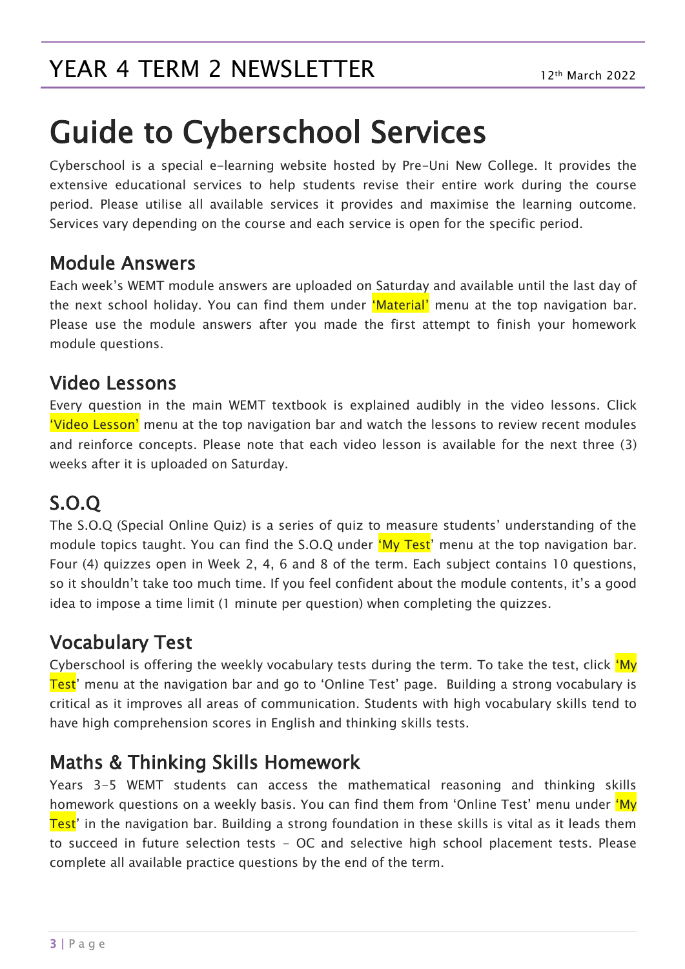# Guide to Cyberschool Services

Cyberschool is a special e-learning website hosted by Pre-Uni New College. It provides the extensive educational services to help students revise their entire work during the course period. Please utilise all available services it provides and maximise the learning outcome. Services vary depending on the course and each service is open for the specific period.

#### Module Answers

Each week's WEMT module answers are uploaded on Saturday and available until the last day of the next school holiday. You can find them under 'Material' menu at the top navigation bar. Please use the module answers after you made the first attempt to finish your homework module questions.

#### Video Lessons

Every question in the main WEMT textbook is explained audibly in the video lessons. Click 'Video Lesson' menu at the top navigation bar and watch the lessons to review recent modules and reinforce concepts. Please note that each video lesson is available for the next three (3) weeks after it is uploaded on Saturday.

## S.O.Q

The S.O.Q (Special Online Quiz) is a series of quiz to measure students' understanding of the module topics taught. You can find the S.O.Q under 'My Test' menu at the top navigation bar. Four (4) quizzes open in Week 2, 4, 6 and 8 of the term. Each subject contains 10 questions, so it shouldn't take too much time. If you feel confident about the module contents, it's a good idea to impose a time limit (1 minute per question) when completing the quizzes.

### Vocabulary Test

Cyberschool is offering the weekly vocabulary tests during the term. To take the test, click 'My Test' menu at the navigation bar and go to 'Online Test' page. Building a strong vocabulary is critical as it improves all areas of communication. Students with high vocabulary skills tend to have high comprehension scores in English and thinking skills tests.

#### Maths & Thinking Skills Homework

Years 3-5 WEMT students can access the mathematical reasoning and thinking skills homework questions on a weekly basis. You can find them from 'Online Test' menu under 'My Test' in the navigation bar. Building a strong foundation in these skills is vital as it leads them to succeed in future selection tests - OC and selective high school placement tests. Please complete all available practice questions by the end of the term.